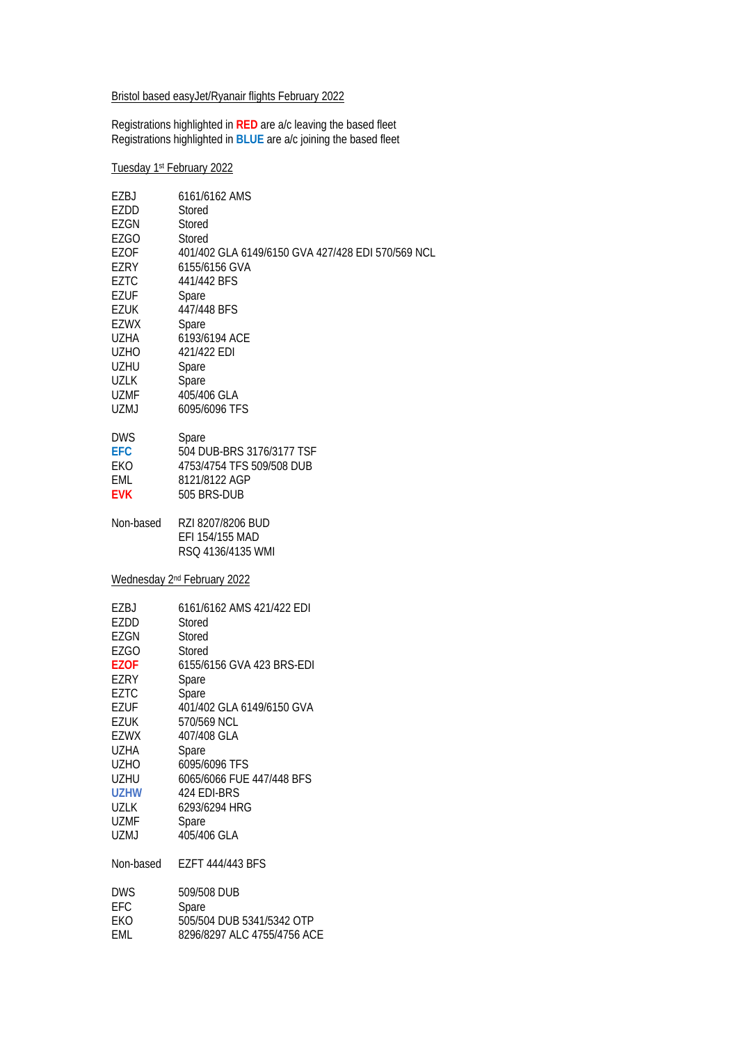# Bristol based easyJet/Ryanair flights February 2022

Registrations highlighted in **RED** are a/c leaving the based fleet Registrations highlighted in **BLUE** are a/c joining the based fleet

### Tuesday 1st February 2022

| EZBJ        | 6161/6162 AMS                                             |
|-------------|-----------------------------------------------------------|
| EZDD        | Stored                                                    |
| EZGN        | Stored                                                    |
| <b>EZGO</b> | Stored                                                    |
| <b>EZOF</b> | 401/402 GLA 6149/6150 GVA 427/428 EDI 570/569 NCL         |
| EZRY        | 6155/6156 GVA                                             |
| <b>EZTC</b> | 441/442 BFS                                               |
| EZUF        | Spare                                                     |
| EZUK        | 447/448 BFS                                               |
| EZWX        | Spare                                                     |
| UZHA        | 6193/6194 ACE                                             |
| <b>UZHO</b> | 421/422 EDI                                               |
| UZHU        | Spare                                                     |
| <b>UZLK</b> | Spare                                                     |
| UZMF        | 405/406 GLA                                               |
| <b>UZMJ</b> | 6095/6096 TFS                                             |
| <b>DWS</b>  | <b>Spare</b>                                              |
| <b>EFC</b>  | 504 DUB-BRS 3176/3177 TSF                                 |
| EKO         | 4753/4754 TFS 509/508 DUB                                 |
| EML         | 8121/8122 AGP                                             |
| <b>EVK</b>  | 505 BRS-DUB                                               |
| Non-based   | RZI 8207/8206 BUD<br>EFI 154/155 MAD<br>RSQ 4136/4135 WMI |
|             | Wednesday 2 <sup>nd</sup> February 2022                   |
| EZBJ        | 6161/6162 AMS 421/422 EDI                                 |
| EZDD        | Stored                                                    |
| EZGN        | Stored                                                    |
| EZGO        | Stored                                                    |
| <b>EZOF</b> | 6155/6156 GVA 423 BRS-EDI                                 |
| EZRY        | Spare                                                     |
| <b>EZTC</b> | Spare                                                     |
| <b>EZUF</b> | 401/402 GLA 6149/6150 GVA                                 |
| <b>EZUK</b> | 570/569 NCL                                               |
| <b>EZWX</b> | 407/408 GLA                                               |
| UZHA        | Spare                                                     |
| <b>UZHO</b> | 6095/6096 TFS                                             |
| <b>UZHU</b> | 6065/6066 FUE 447/448 BFS                                 |
| <b>UZHW</b> | 424 EDI-BRS                                               |
| <b>UZLK</b> | 6293/6294 HRG                                             |
| <b>UZMF</b> | Spare                                                     |
| <b>UZMJ</b> | 405/406 GLA                                               |
| Non-based   | EZFT 444/443 BFS                                          |
| <b>DWS</b>  | 509/508 DUB                                               |
| EFC         | Spare                                                     |
| EKO         | 505/504 DUB 5341/5342 OTP                                 |
| EML         | 8296/8297 ALC 4755/4756 ACE                               |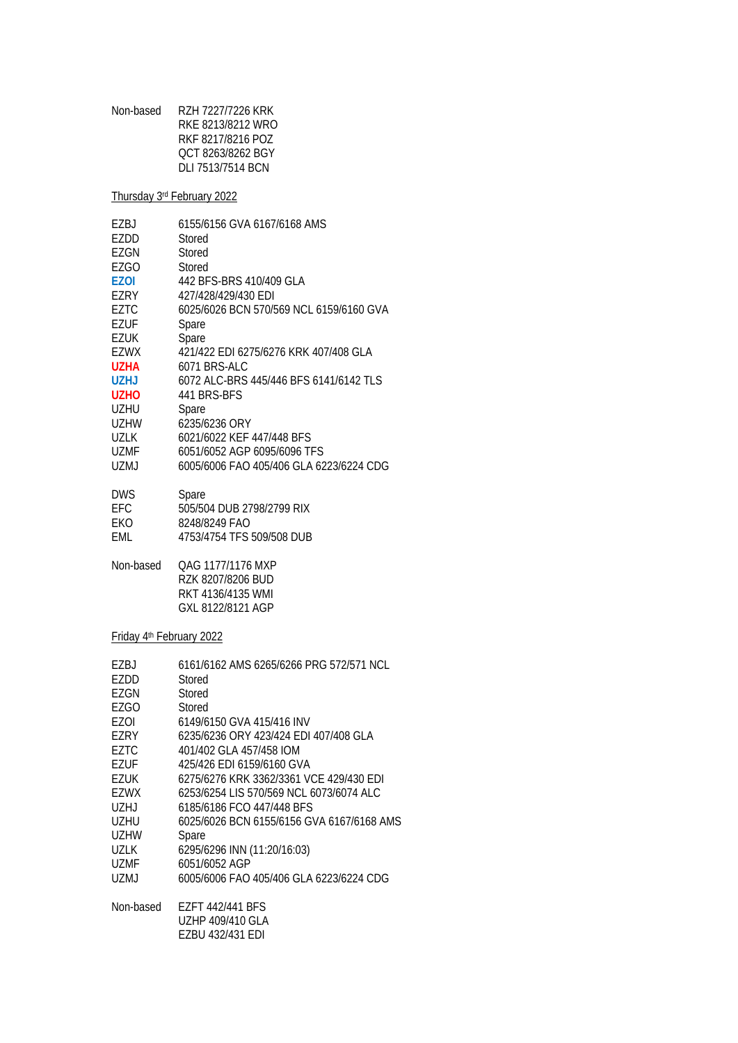| Non-based | RZH 7227/7226 KRK |
|-----------|-------------------|
|           | RKE 8213/8212 WRO |
|           | RKF 8217/8216 POZ |
|           | OCT 8263/8262 BGY |
|           | DLI 7513/7514 BCN |
|           |                   |

Thursday 3rd February 2022

| FZBJ        | 6155/6156 GVA 6167/6168 AMS             |
|-------------|-----------------------------------------|
| EZDD        | Stored                                  |
| EZGN        | Stored                                  |
| EZGO        | Stored                                  |
| <b>EZOI</b> | 442 BFS-BRS 410/409 GLA                 |
| EZRY        | 427/428/429/430 EDI                     |
| EZTC        | 6025/6026 BCN 570/569 NCL 6159/6160 GVA |
| F7UF        | Spare                                   |
| EZUK        | Spare                                   |
| EZWX        | 421/422 EDI 6275/6276 KRK 407/408 GLA   |
| <b>UZHA</b> | 6071 BRS-ALC                            |
| <b>UZHJ</b> | 6072 ALC-BRS 445/446 BFS 6141/6142 TLS  |
| UZHO        | 441 BRS-BES                             |
| UZHU        | Spare                                   |
| UZHW        | 6235/6236 ORY                           |
| UZLK        | 6021/6022 KEF 447/448 BFS               |
| UZMF        | 6051/6052 AGP 6095/6096 TFS             |
| UZMJ        | 6005/6006 FAO 405/406 GLA 6223/6224 CDG |
| <b>DWS</b>  | Spare                                   |
| EFC         | 505/504 DUB 2798/2799 RIX               |

| ᄓᆸ  | <u>JUJIJU TUUD ZI 701Z 1 7 7 INIA</u> |
|-----|---------------------------------------|
| EKO | 8248/8249 FAO                         |
| EML | 4753/4754 TFS 509/508 DUB             |

Non-based QAG 1177/1176 MXP RZK 8207/8206 BUD RKT 4136/4135 WMI GXL 8122/8121 AGP

Friday 4th February 2022

| EZBJ      | 6161/6162 AMS 6265/6266 PRG 572/571 NCL   |
|-----------|-------------------------------------------|
| EZDD      | Stored                                    |
| EZGN      | Stored                                    |
| EZGO      | Stored                                    |
| EZOI      | 6149/6150 GVA 415/416 INV                 |
| EZRY      | 6235/6236 ORY 423/424 EDI 407/408 GLA     |
| EZTC      | 401/402 GLA 457/458 IOM                   |
| EZUF      | 425/426 EDI 6159/6160 GVA                 |
| F7IJK     | 6275/6276 KRK 3362/3361 VCE 429/430 EDI   |
| EZWX      | 6253/6254 LIS 570/569 NCL 6073/6074 ALC   |
| UZHJ      | 6185/6186 FCO 447/448 BFS                 |
| UZHU      | 6025/6026 BCN 6155/6156 GVA 6167/6168 AMS |
| UZHW      | Spare                                     |
| UZLK      | 6295/6296 INN (11:20/16:03)               |
| UZMF      | 6051/6052 AGP                             |
| UZMJ      | 6005/6006 FAO 405/406 GLA 6223/6224 CDG   |
| Non-based | EZFT 442/441 BFS                          |
|           | UZHP 409/410 GLA                          |
|           | EZBU 432/431 EDI                          |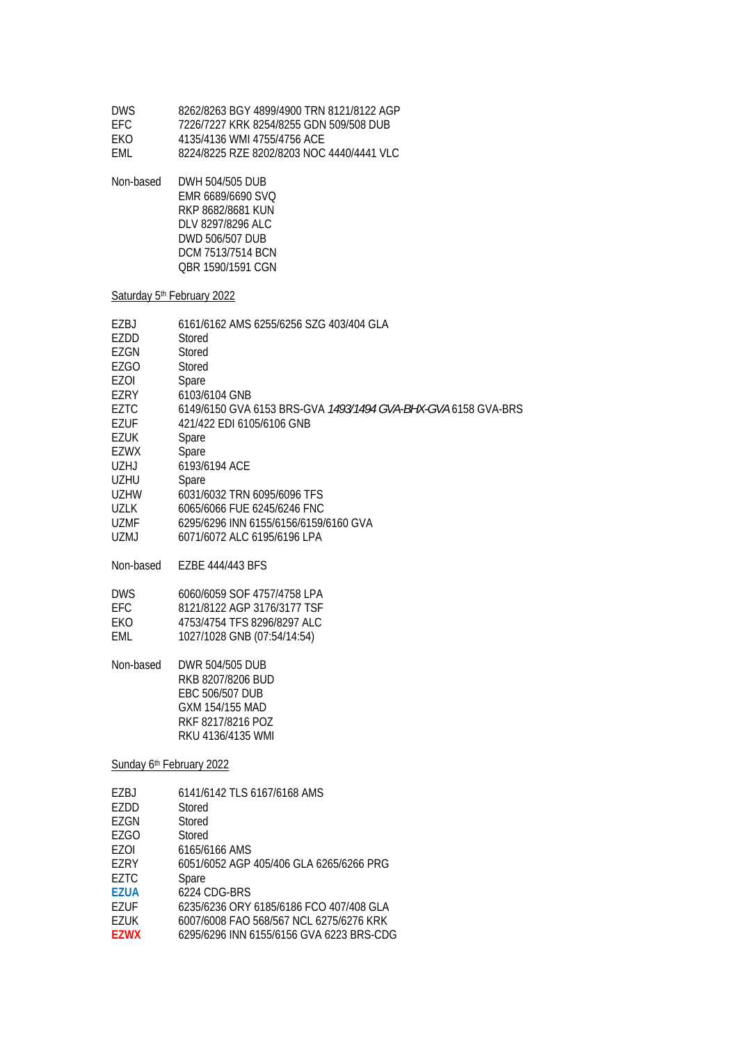| 8262/8263 BGY 4899/4900 TRN 8121/8122 AGP |
|-------------------------------------------|
| 7226/7227 KRK 8254/8255 GDN 509/508 DUB   |
| 4135/4136 WMI 4755/4756 ACE               |
| 8224/8225 R7F 8202/8203 NOC 4440/4441 VLC |
|                                           |

Non-based DWH 504/505 DUB EMR 6689/6690 SVQ RKP 8682/8681 KUN DLV 8297/8296 ALC DWD 506/507 DUB DCM 7513/7514 BCN QBR 1590/1591 CGN

#### Saturday 5<sup>th</sup> February 2022

| 6161/6162 AMS 6255/6256 SZG 403/404 GLA                       |
|---------------------------------------------------------------|
| Stored                                                        |
| Stored                                                        |
| Stored                                                        |
| Spare                                                         |
| 6103/6104 GNB                                                 |
| 6149/6150 GVA 6153 BRS-GVA 1493/1494 GVA-BHX-GVA 6158 GVA-BRS |
| 421/422 EDI 6105/6106 GNB                                     |
| Spare                                                         |
| Spare                                                         |
| 6193/6194 ACE                                                 |
| Spare                                                         |
| 6031/6032 TRN 6095/6096 TFS                                   |
| 6065/6066 FUE 6245/6246 FNC                                   |
| 6295/6296 INN 6155/6156/6159/6160 GVA                         |
| 6071/6072 ALC 6195/6196 LPA                                   |
|                                                               |

Non-based EZBE 444/443 BFS

| DWS.       | 6060/6059 SOF 4757/4758 LPA |
|------------|-----------------------------|
| FFC.       | 8121/8122 AGP 3176/3177 TSF |
| <b>FKO</b> | 4753/4754 TFS 8296/8297 ALC |
| EMI.       | 1027/1028 GNB (07:54/14:54) |

Non-based DWR 504/505 DUB RKB 8207/8206 BUD EBC 506/507 DUB GXM 154/155 MAD RKF 8217/8216 POZ RKU 4136/4135 WMI

Sunday 6<sup>th</sup> February 2022

| F7BJ        | 6141/6142 TLS 6167/6168 AMS              |
|-------------|------------------------------------------|
| EZDD        | Stored                                   |
| EZGN        | Stored                                   |
| F7GO        | Stored                                   |
| EZOI        | 6165/6166 AMS                            |
| F7RY        | 6051/6052 AGP 405/406 GLA 6265/6266 PRG  |
| EZTC        | Spare                                    |
| <b>F7UA</b> | 6224 CDG-BRS                             |
| F7UF        | 6235/6236 ORY 6185/6186 FCO 407/408 GLA  |
| F7UK        | 6007/6008 FAO 568/567 NCL 6275/6276 KRK  |
| <b>F7WX</b> | 6295/6296 INN 6155/6156 GVA 6223 BRS-CDG |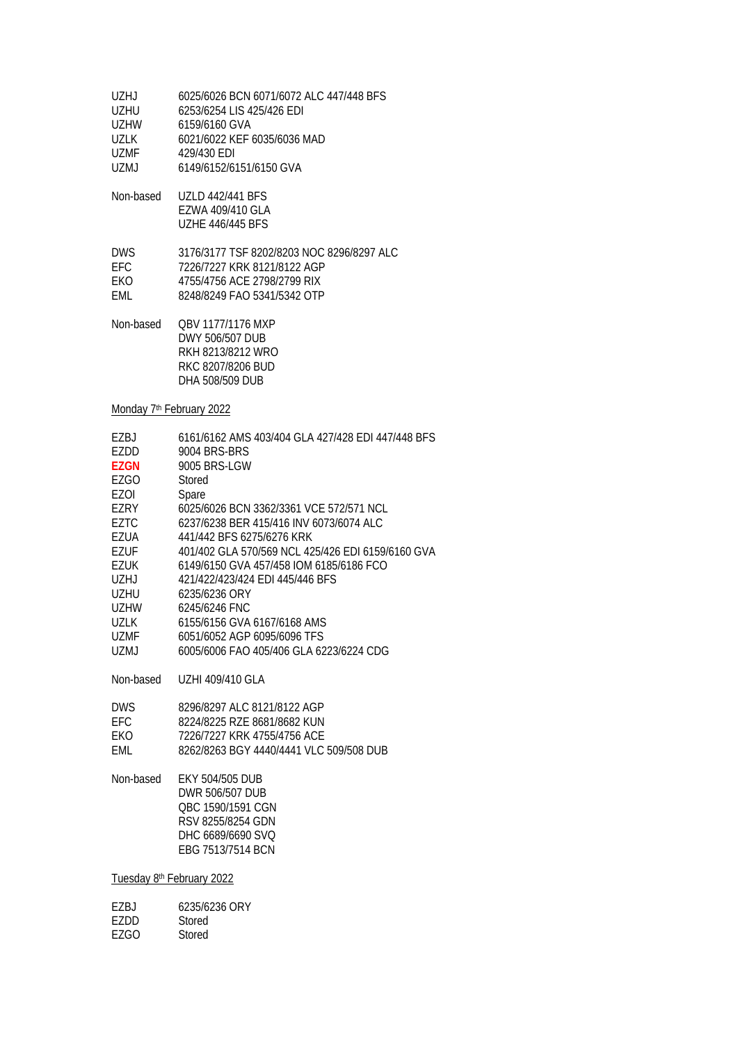| UZHJ.  | 6025/6026 BCN 6071/6072 ALC 447/448 BFS |
|--------|-----------------------------------------|
| UZHU   | 6253/6254 LIS 425/426 EDI               |
| UZHW   | 6159/6160 GVA                           |
| 1171 K | 6021/6022 KEF 6035/6036 MAD             |
| UZMF.  | 429/430 EDI                             |
| UZMJ   | 6149/6152/6151/6150 GVA                 |
|        |                                         |

Non-based UZLD 442/441 BFS EZWA 409/410 GLA UZHE 446/445 BFS

| <b>DWS</b> | 3176/3177 TSF 8202/8203 NOC 8296/8297 ALC |
|------------|-------------------------------------------|
| EFC.       | 7226/7227 KRK 8121/8122 AGP               |
| FKO.       | 4755/4756 ACE 2798/2799 RIX               |
| FMI.       | 8248/8249 FAO 5341/5342 OTP               |

Non-based QBV 1177/1176 MXP DWY 506/507 DUB RKH 8213/8212 WRO RKC 8207/8206 BUD DHA 508/509 DUB

Monday 7<sup>th</sup> February 2022

| 6161/6162 AMS 403/404 GLA 427/428 EDI 447/448 BFS |
|---------------------------------------------------|
| 9004 BRS-BRS                                      |
| 9005 BRS-LGW                                      |
| Stored                                            |
| Spare                                             |
| 6025/6026 BCN 3362/3361 VCE 572/571 NCL           |
| 6237/6238 BER 415/416 INV 6073/6074 ALC           |
| 441/442 BFS 6275/6276 KRK                         |
| 401/402 GLA 570/569 NCL 425/426 EDI 6159/6160 GVA |
| 6149/6150 GVA 457/458 IOM 6185/6186 FCO           |
| 421/422/423/424 EDI 445/446 BFS                   |
| 6235/6236 ORY                                     |
| 6245/6246 FNC                                     |
| 6155/6156 GVA 6167/6168 AMS                       |
| 6051/6052 AGP 6095/6096 TFS                       |
| 6005/6006 FAO 405/406 GLA 6223/6224 CDG           |
|                                                   |

Non-based UZHI 409/410 GLA

| DWS. | 8296/8297 ALC 8121/8122 AGP             |
|------|-----------------------------------------|
| FFC. | 8224/8225 RZE 8681/8682 KUN             |
| FKO. | 7226/7227 KRK 4755/4756 ACE             |
| FMI. | 8262/8263 BGY 4440/4441 VLC 509/508 DUB |

Non-based EKY 504/505 DUB DWR 506/507 DUB QBC 1590/1591 CGN RSV 8255/8254 GDN DHC 6689/6690 SVQ EBG 7513/7514 BCN

Tuesday 8th February 2022

| F7BJ | 6235/6236 ORY |
|------|---------------|
| F7DD | Stored        |
| F7GO | Stored        |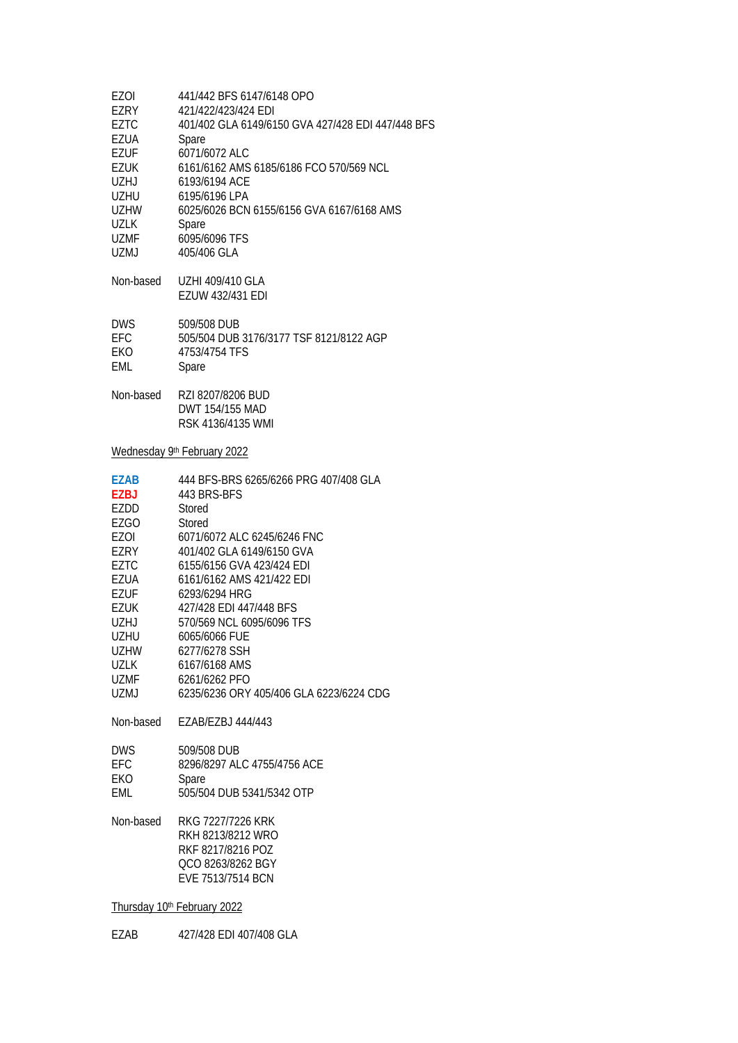| 441/442 BFS 6147/6148 OPO<br>421/422/423/424 EDI<br>401/402 GLA 6149/6150 GVA 427/428 EDI 447/448 BFS<br>Spare<br>6071/6072 ALC<br>6161/6162 AMS 6185/6186 FCO 570/569 NCL<br>6193/6194 ACE<br>6195/6196 LPA<br>6025/6026 BCN 6155/6156 GVA 6167/6168 AMS<br>Spare<br>6095/6096 TFS<br>405/406 GLA                                                                                                                       |  |  |
|--------------------------------------------------------------------------------------------------------------------------------------------------------------------------------------------------------------------------------------------------------------------------------------------------------------------------------------------------------------------------------------------------------------------------|--|--|
| UZHI 409/410 GLA<br>EZUW 432/431 EDI                                                                                                                                                                                                                                                                                                                                                                                     |  |  |
| 509/508 DUB<br>505/504 DUB 3176/3177 TSF 8121/8122 AGP<br>4753/4754 TFS<br>Spare                                                                                                                                                                                                                                                                                                                                         |  |  |
| RZI 8207/8206 BUD<br>DWT 154/155 MAD<br>RSK 4136/4135 WMI                                                                                                                                                                                                                                                                                                                                                                |  |  |
| Wednesday 9th February 2022                                                                                                                                                                                                                                                                                                                                                                                              |  |  |
| 444 BFS-BRS 6265/6266 PRG 407/408 GLA<br>443 BRS-BFS<br>Stored<br>Stored<br>6071/6072 ALC 6245/6246 FNC<br>401/402 GLA 6149/6150 GVA<br>6155/6156 GVA 423/424 EDI<br>6161/6162 AMS 421/422 EDI<br>6293/6294 HRG<br>427/428 EDI 447/448 BFS<br>570/569 NCL 6095/6096 TFS<br>6065/6066 FUE<br>6277/6278 SSH<br>6167/6168 AMS<br>6261/6262 PFO<br>6235/6236 ORY 405/406 GLA 6223/6224 CDG<br>Non-based<br>EZAB/EZBJ 444/443 |  |  |
| 509/508 DUB<br>8296/8297 ALC 4755/4756 ACE                                                                                                                                                                                                                                                                                                                                                                               |  |  |
| Spare<br>505/504 DUB 5341/5342 OTP                                                                                                                                                                                                                                                                                                                                                                                       |  |  |
| RKG 7227/7226 KRK<br>RKH 8213/8212 WRO<br>RKF 8217/8216 POZ<br>QCO 8263/8262 BGY<br>EVE 7513/7514 BCN                                                                                                                                                                                                                                                                                                                    |  |  |
| Thursday 10th February 2022                                                                                                                                                                                                                                                                                                                                                                                              |  |  |
|                                                                                                                                                                                                                                                                                                                                                                                                                          |  |  |

EZAB 427/428 EDI 407/408 GLA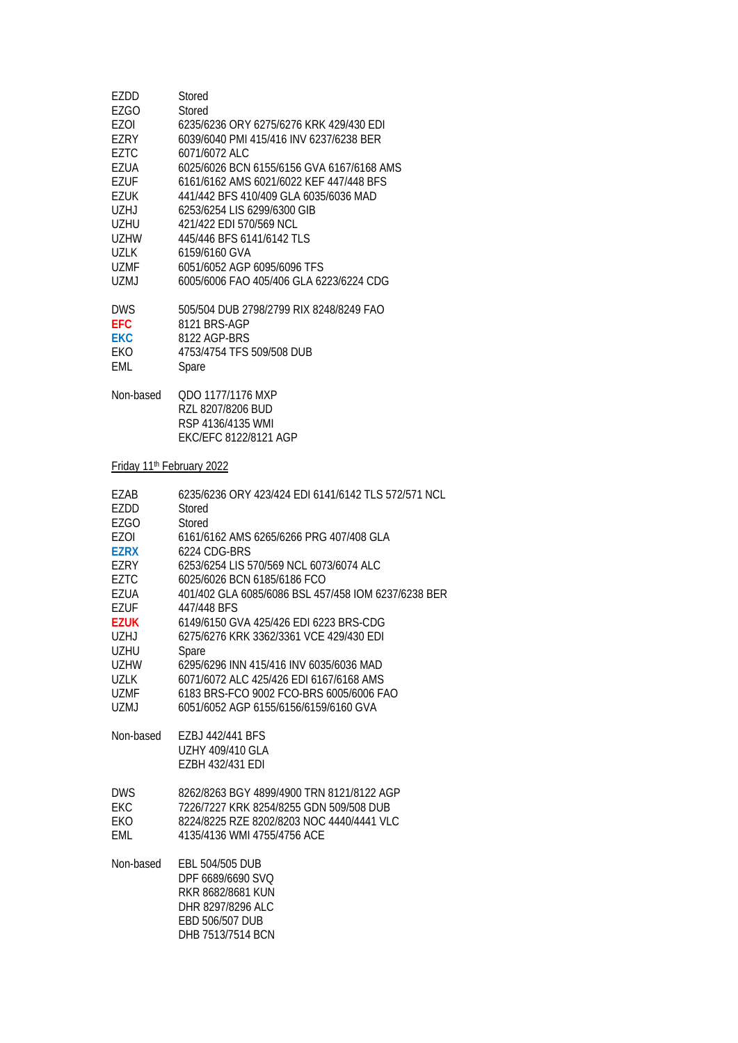| EZDD                                  | Stored                                                                                                                 |
|---------------------------------------|------------------------------------------------------------------------------------------------------------------------|
| EZGO                                  | Stored                                                                                                                 |
| EZOI                                  | 6235/6236 ORY 6275/6276 KRK 429/430 EDI                                                                                |
| F7RY                                  | 6039/6040 PMI 415/416 INV 6237/6238 BER                                                                                |
| <b>EZTC</b>                           | 6071/6072 ALC                                                                                                          |
| EZUA                                  | 6025/6026 BCN 6155/6156 GVA 6167/6168 AMS                                                                              |
| <b>EZUF</b>                           | 6161/6162 AMS 6021/6022 KEF 447/448 BFS                                                                                |
| <b>EZUK</b>                           | 441/442 BFS 410/409 GLA 6035/6036 MAD                                                                                  |
| <b>UZHJ</b>                           | 6253/6254 LIS 6299/6300 GIB                                                                                            |
| <b>UZHU</b>                           | 421/422 EDI 570/569 NCL                                                                                                |
| <b>UZHW</b>                           | 445/446 BFS 6141/6142 TLS                                                                                              |
| <b>UZLK</b>                           | 6159/6160 GVA                                                                                                          |
| <b>UZMF</b>                           | 6051/6052 AGP 6095/6096 TFS                                                                                            |
| <b>UZMJ</b>                           | 6005/6006 FAO 405/406 GLA 6223/6224 CDG                                                                                |
| <b>DWS</b>                            | 505/504 DUB 2798/2799 RIX 8248/8249 FAO                                                                                |
| <b>EFC</b>                            | 8121 BRS-AGP                                                                                                           |
| <b>EKC</b>                            | 8122 AGP-BRS                                                                                                           |
| EKO                                   | 4753/4754 TFS 509/508 DUB                                                                                              |
| EML                                   | Spare                                                                                                                  |
| Non-based                             | QDO 1177/1176 MXP<br>RZL 8207/8206 BUD<br>RSP 4136/4135 WMI<br>EKC/EFC 8122/8121 AGP                                   |
| Friday 11 <sup>th</sup> February 2022 |                                                                                                                        |
| EZAB                                  | 6235/6236 ORY 423/424 EDI 6141/6142 TLS 572/571 NCL                                                                    |
| EZDD                                  | Stored                                                                                                                 |
| <b>EZGO</b>                           | Stored                                                                                                                 |
| <b>EZOI</b>                           | 6161/6162 AMS 6265/6266 PRG 407/408 GLA                                                                                |
| <b>EZRX</b>                           | 6224 CDG-BRS                                                                                                           |
| EZRY                                  | 6253/6254 LIS 570/569 NCL 6073/6074 ALC                                                                                |
| <b>EZTC</b>                           | 6025/6026 BCN 6185/6186 FCO                                                                                            |
| <b>EZUA</b>                           | 401/402 GLA 6085/6086 BSL 457/458 IOM 6237/6238 BER                                                                    |
| EZUF                                  | 447/448 BFS                                                                                                            |
| <b>EZUK</b>                           | 6149/6150 GVA 425/426 EDI 6223 BRS-CDG                                                                                 |
| <b>UZHJ</b>                           | 6275/6276 KRK 3362/3361 VCE 429/430 EDI                                                                                |
| <b>UZHU</b>                           | Spare                                                                                                                  |
| <b>UZHW</b>                           | 6295/6296 INN 415/416 INV 6035/6036 MAD                                                                                |
| <b>UZLK</b>                           | 6071/6072 ALC 425/426 EDI 6167/6168 AMS                                                                                |
| UZMF                                  | 6183 BRS-FCO 9002 FCO-BRS 6005/6006 FAO                                                                                |
| <b>UZMJ</b>                           | 6051/6052 AGP 6155/6156/6159/6160 GVA                                                                                  |
| Non-based                             | EZBJ 442/441 BFS<br><b>UZHY 409/410 GLA</b><br>EZBH 432/431 EDI                                                        |
| <b>DWS</b>                            | 8262/8263 BGY 4899/4900 TRN 8121/8122 AGP                                                                              |
| <b>EKC</b>                            | 7226/7227 KRK 8254/8255 GDN 509/508 DUB                                                                                |
| EKO                                   | 8224/8225 RZE 8202/8203 NOC 4440/4441 VLC                                                                              |
| EML                                   | 4135/4136 WMI 4755/4756 ACE                                                                                            |
| Non-based                             | EBL 504/505 DUB<br>DPF 6689/6690 SVQ<br>RKR 8682/8681 KUN<br>DHR 8297/8296 ALC<br>EBD 506/507 DUB<br>DHB 7513/7514 BCN |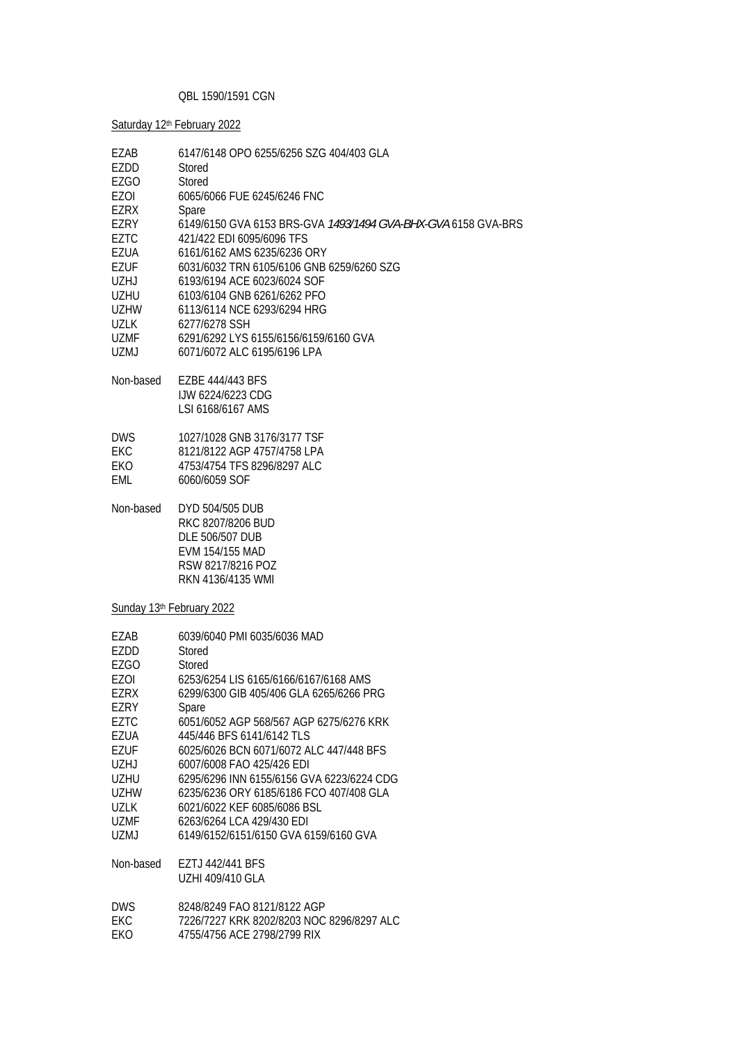### QBL 1590/1591 CGN

Saturday 12<sup>th</sup> February 2022

| EZAB<br>EZDD<br>EZGO<br>EZOI<br>EZRX<br>EZRY<br><b>EZTC</b><br>EZUA<br>EZUF<br><b>UZHJ</b><br>UZHU<br>UZHW<br>UZLK<br>UZMF<br>UZMJ                            | 6147/6148 OPO 6255/6256 SZG 404/403 GLA<br><b>Stored</b><br>Stored<br>6065/6066 FUE 6245/6246 FNC<br>Spare<br>6149/6150 GVA 6153 BRS-GVA 1493/1494 GVA-BHX-GVA 6158 GVA-BRS<br>421/422 EDI 6095/6096 TFS<br>6161/6162 AMS 6235/6236 ORY<br>6031/6032 TRN 6105/6106 GNB 6259/6260 SZG<br>6193/6194 ACE 6023/6024 SOF<br>6103/6104 GNB 6261/6262 PFO<br>6113/6114 NCE 6293/6294 HRG<br>6277/6278 SSH<br>6291/6292 LYS 6155/6156/6159/6160 GVA<br>6071/6072 ALC 6195/6196 LPA                                                               |
|---------------------------------------------------------------------------------------------------------------------------------------------------------------|------------------------------------------------------------------------------------------------------------------------------------------------------------------------------------------------------------------------------------------------------------------------------------------------------------------------------------------------------------------------------------------------------------------------------------------------------------------------------------------------------------------------------------------|
| Non-based                                                                                                                                                     | EZBE 444/443 BFS<br><b>IJW 6224/6223 CDG</b><br>LSI 6168/6167 AMS                                                                                                                                                                                                                                                                                                                                                                                                                                                                        |
| <b>DWS</b><br><b>EKC</b><br>EKO<br>EML                                                                                                                        | 1027/1028 GNB 3176/3177 TSF<br>8121/8122 AGP 4757/4758 LPA<br>4753/4754 TFS 8296/8297 ALC<br>6060/6059 SOF                                                                                                                                                                                                                                                                                                                                                                                                                               |
| Non-based                                                                                                                                                     | DYD 504/505 DUB<br>RKC 8207/8206 BUD<br>DLE 506/507 DUB<br>EVM 154/155 MAD<br>RSW 8217/8216 POZ<br>RKN 4136/4135 WMI                                                                                                                                                                                                                                                                                                                                                                                                                     |
|                                                                                                                                                               | Sunday 13th February 2022                                                                                                                                                                                                                                                                                                                                                                                                                                                                                                                |
| EZAB<br>EZDD<br>EZGO<br>EZOI<br>EZRX<br>EZRY<br><b>EZTC</b><br>EZUA<br>EZUF<br>UZHJ<br><b>UZHU</b><br><b>UZHW</b><br>UZLK<br>UZMF<br><b>UZMJ</b><br>Non-based | 6039/6040 PMI 6035/6036 MAD<br>Stored<br>Stored<br>6253/6254 LIS 6165/6166/6167/6168 AMS<br>6299/6300 GIB 405/406 GLA 6265/6266 PRG<br>Spare<br>6051/6052 AGP 568/567 AGP 6275/6276 KRK<br>445/446 BFS 6141/6142 TLS<br>6025/6026 BCN 6071/6072 ALC 447/448 BFS<br>6007/6008 FAO 425/426 EDI<br>6295/6296 INN 6155/6156 GVA 6223/6224 CDG<br>6235/6236 ORY 6185/6186 FCO 407/408 GLA<br>6021/6022 KEF 6085/6086 BSL<br>6263/6264 LCA 429/430 EDI<br>6149/6152/6151/6150 GVA 6159/6160 GVA<br>EZTJ 442/441 BFS<br><b>UZHI 409/410 GLA</b> |
| <b>DWS</b><br>EKC<br>EKO                                                                                                                                      | 8248/8249 FAO 8121/8122 AGP<br>7226/7227 KRK 8202/8203 NOC 8296/8297 ALC<br>4755/4756 ACE 2798/2799 RIX                                                                                                                                                                                                                                                                                                                                                                                                                                  |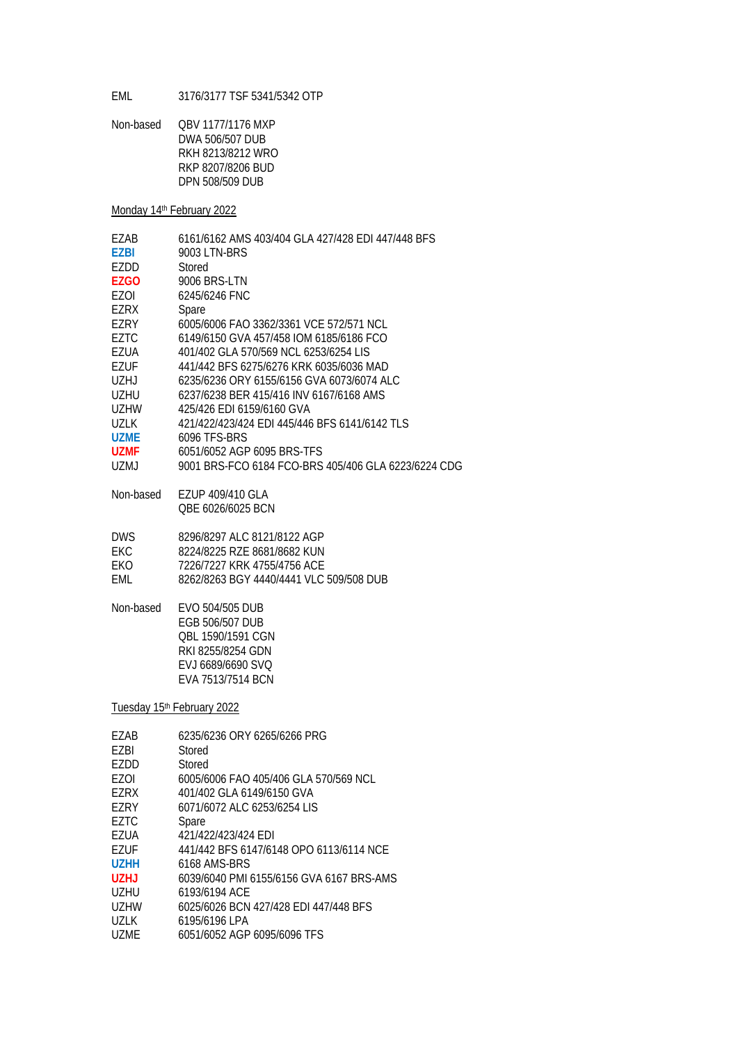EML 3176/3177 TSF 5341/5342 OTP

Non-based QBV 1177/1176 MXP DWA 506/507 DUB RKH 8213/8212 WRO RKP 8207/8206 BUD DPN 508/509 DUB

Monday 14<sup>th</sup> February 2022

| F7AB        | 6161/6162 AMS 403/404 GLA 427/428 EDI 447/448 BFS   |
|-------------|-----------------------------------------------------|
| <b>F7BI</b> | 9003 LTN-BRS                                        |
| F7DD        | Stored                                              |
| EZGO        | 9006 BRS-LTN                                        |
| EZOI        | 6245/6246 FNC                                       |
| F7RX        | Spare                                               |
| F7RY        | 6005/6006 FAO 3362/3361 VCE 572/571 NCL             |
| F7TC        | 6149/6150 GVA 457/458 IOM 6185/6186 FCO             |
| EZUA        | 401/402 GLA 570/569 NCL 6253/6254 LIS               |
| F7UF        | 441/442 BES 6275/6276 KRK 6035/6036 MAD             |
| U7HJ        | 6235/6236 ORY 6155/6156 GVA 6073/6074 ALC           |
| UZHU        | 6237/6238 BFR 415/416 INV 6167/6168 AMS             |
| UZHW        | 425/426 EDI 6159/6160 GVA                           |
| <b>UZLK</b> | 421/422/423/424 EDI 445/446 BFS 6141/6142 TLS       |
| <b>UZME</b> | 6096 TFS-BRS                                        |
| UZMF        | 6051/6052 AGP 6095 BRS-TFS                          |
| UZMJ        | 9001 BRS-FCO 6184 FCO-BRS 405/406 GLA 6223/6224 CDG |

Non-based EZUP 409/410 GLA QBE 6026/6025 BCN

| 8296/8297 ALC 8121/8122 AGP             |
|-----------------------------------------|
| 8224/8225 RZE 8681/8682 KUN             |
| 7226/7227 KRK 4755/4756 ACF             |
| 8262/8263 BGY 4440/4441 VLC 509/508 DUB |
|                                         |

Non-based EVO 504/505 DUB EGB 506/507 DUB QBL 1590/1591 CGN RKI 8255/8254 GDN EVJ 6689/6690 SVQ EVA 7513/7514 BCN

Tuesday 15<sup>th</sup> February 2022

| F7AB        | 6235/6236 ORY 6265/6266 PRG              |
|-------------|------------------------------------------|
| EZBI        | Stored                                   |
| F7DD        | Stored                                   |
| F70I        | 6005/6006 FAO 405/406 GLA 570/569 NCL    |
| EZRX        | 401/402 GLA 6149/6150 GVA                |
| EZRY        | 6071/6072 ALC 6253/6254 LIS              |
| F7TC        | Spare                                    |
| EZUA        | 421/422/423/424 FDI                      |
| F7UF        | 441/442 BFS 6147/6148 OPO 6113/6114 NCF  |
| U7HH        | 6168 AMS-BRS                             |
| U7HJ        | 6039/6040 PML 6155/6156 GVA 6167 BRS-AMS |
| UZHU        | 6193/6194 ACF                            |
| UZHW        | 6025/6026 BCN 427/428 EDI 447/448 BFS    |
| <b>UZLK</b> | 6195/6196 LPA                            |
| UZMF        | 6051/6052 AGP 6095/6096 TFS              |
|             |                                          |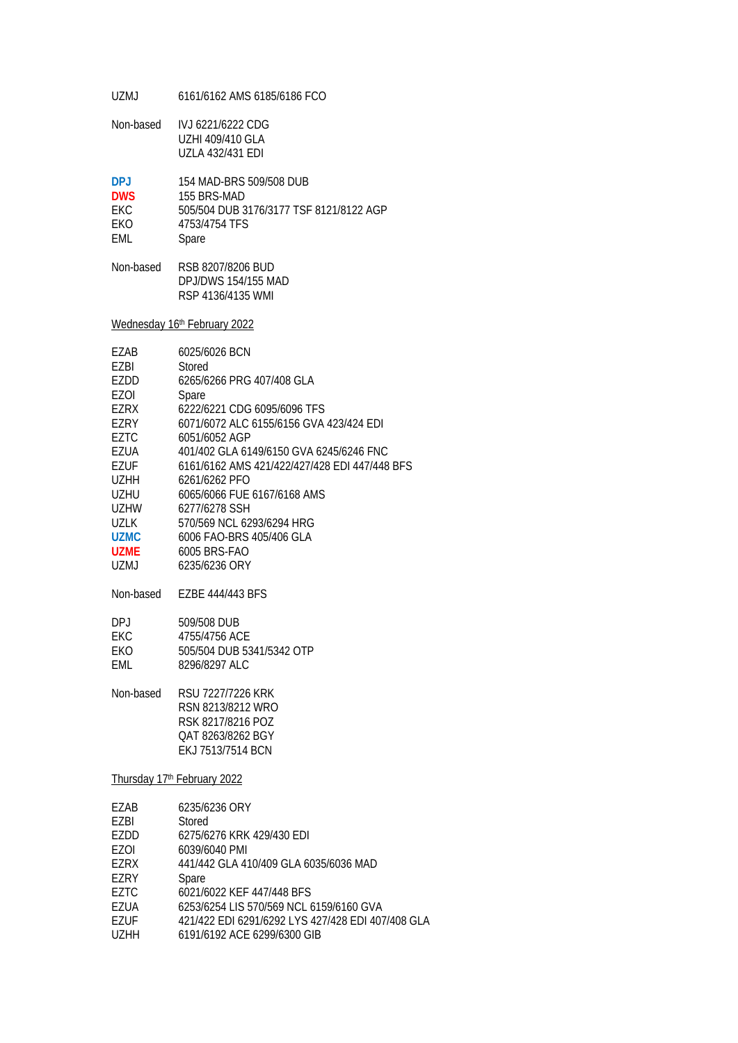UZMJ 6161/6162 AMS 6185/6186 FCO

Non-based IVJ 6221/6222 CDG UZHI 409/410 GLA UZLA 432/431 EDI

| <b>DPI</b> | 154 MAD-BRS 509/508 DUB                 |
|------------|-----------------------------------------|
| <b>DWS</b> | 155 BRS-MAD                             |
| FKC.       | 505/504 DUB 3176/3177 TSF 8121/8122 AGP |
| <b>FKO</b> | 4753/4754 TFS                           |
| FMI.       | Spare                                   |

Non-based RSB 8207/8206 BUD DPJ/DWS 154/155 MAD RSP 4136/4135 WMI

Wednesday 16<sup>th</sup> February 2022

| F7AB        | 6025/6026 BCN                                 |
|-------------|-----------------------------------------------|
| EZBI        | Stored                                        |
| EZDD        | 6265/6266 PRG 407/408 GLA                     |
| EZOI        | Spare                                         |
| EZRX        | 6222/6221 CDG 6095/6096 TFS                   |
| EZRY        | 6071/6072 ALC 6155/6156 GVA 423/424 EDI       |
| F7TC        | 6051/6052 AGP                                 |
| EZUA        | 401/402 GLA 6149/6150 GVA 6245/6246 FNC       |
| EZUF        | 6161/6162 AMS 421/422/427/428 EDI 447/448 BFS |
| U7HH        | 6261/6262 PFO                                 |
| UZHU        | 6065/6066 FUE 6167/6168 AMS                   |
| UZHW        | 6277/6278 SSH                                 |
| UZLK        | 570/569 NCL 6293/6294 HRG                     |
| <b>UZMC</b> | 6006 FAO-BRS 405/406 GLA                      |
| UZMF.       | 6005 BRS-FAO                                  |
| UZMJ        | 6235/6236 ORY                                 |

Non-based EZBE 444/443 BFS

| DP.I | 509/508 DUB               |
|------|---------------------------|
| FKC. | 4755/4756 ACE             |
| FKO  | 505/504 DUB 5341/5342 OTP |
| FMI. | 8296/8297 ALC             |

Non-based RSU 7227/7226 KRK RSN 8213/8212 WRO RSK 8217/8216 POZ QAT 8263/8262 BGY EKJ 7513/7514 BCN

Thursday 17th February 2022

| EZAB | 6235/6236 ORY                                     |
|------|---------------------------------------------------|
| EZBI | Stored                                            |
| EZDD | 6275/6276 KRK 429/430 EDI                         |
| EZOI | 6039/6040 PMI                                     |
| EZRX | 441/442 GLA 410/409 GLA 6035/6036 MAD             |
| EZRY | Spare                                             |
| EZTC | 6021/6022 KEF 447/448 BFS                         |
| EZUA | 6253/6254 LIS 570/569 NCL 6159/6160 GVA           |
| EZUF | 421/422 EDI 6291/6292 LYS 427/428 EDI 407/408 GLA |
| UZHH | 6191/6192 ACE 6299/6300 GIB                       |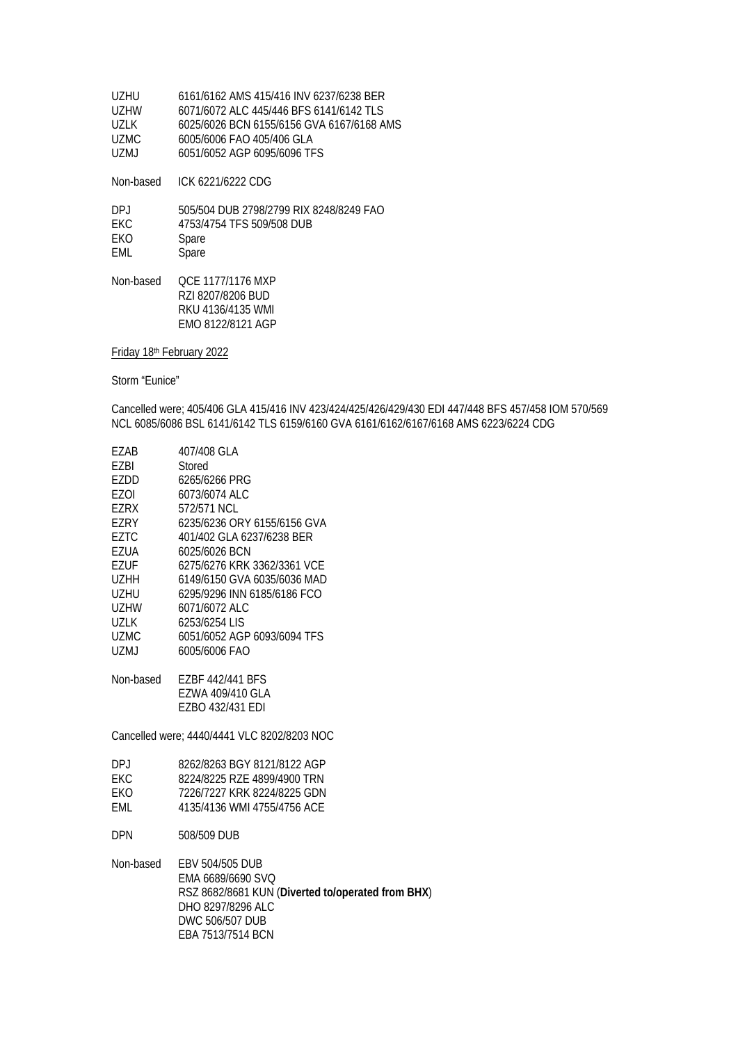| UZHU.  | 6161/6162 AMS 415/416 INV 6237/6238 BER   |
|--------|-------------------------------------------|
| LIZHW  | 6071/6072 ALC 445/446 BES 6141/6142 TLS   |
| 1171 K | 6025/6026 BCN 6155/6156 GVA 6167/6168 AMS |
| UZMC.  | 6005/6006 FAO 405/406 GLA                 |
| UZMJ.  | 6051/6052 AGP 6095/6096 TFS               |
|        |                                           |

Non-based ICK 6221/6222 CDG

| DP.I       | 505/504 DUB 2798/2799 RIX 8248/8249 FAO |
|------------|-----------------------------------------|
| FKC.       | 4753/4754 TFS 509/508 DUB               |
| <b>FKO</b> | Spare                                   |
| FMI.       | Spare                                   |
|            |                                         |

Non-based QCE 1177/1176 MXP RZI 8207/8206 BUD RKU 4136/4135 WMI EMO 8122/8121 AGP

Friday 18th February 2022

Storm "Eunice"

Cancelled were; 405/406 GLA 415/416 INV 423/424/425/426/429/430 EDI 447/448 BFS 457/458 IOM 570/569 NCL 6085/6086 BSL 6141/6142 TLS 6159/6160 GVA 6161/6162/6167/6168 AMS 6223/6224 CDG

| F7AB   | 407/408 GLA                 |
|--------|-----------------------------|
| F7BI   | Stored                      |
| F7DD   | 6265/6266 PRG               |
| F70I   | 6073/6074 ALC               |
| F7RX   | 572/571 NCL                 |
| EZRY   | 6235/6236 ORY 6155/6156 GVA |
| F7TC   | 401/402 GLA 6237/6238 BER   |
| EZUA   | 6025/6026 BCN               |
| EZUF   | 6275/6276 KRK 3362/3361 VCE |
| UZHH   | 6149/6150 GVA 6035/6036 MAD |
| UZHU   | 6295/9296 INN 6185/6186 FCO |
| UZHW   | 6071/6072 ALC               |
| 1171 K | 6253/6254 LIS               |
| UZMC   | 6051/6052 AGP 6093/6094 TFS |
| UZMJ   | 6005/6006 FAO               |
|        |                             |

| EZBF 442/441 BFS |
|------------------|
| EZWA 409/410 GLA |
| EZBO 432/431 EDI |
|                  |

Cancelled were; 4440/4441 VLC 8202/8203 NOC

| DP L       | 8262/8263 BGY 8121/8122 AGP |
|------------|-----------------------------|
| FKC.       | 8224/8225 RZE 4899/4900 TRN |
| <b>FKO</b> | 7226/7227 KRK 8224/8225 GDN |
| FMI.       | 4135/4136 WMI 4755/4756 ACE |

DPN 508/509 DUB

Non-based EBV 504/505 DUB EMA 6689/6690 SVQ RSZ 8682/8681 KUN (**Diverted to/operated from BHX**) DHO 8297/8296 ALC DWC 506/507 DUB EBA 7513/7514 BCN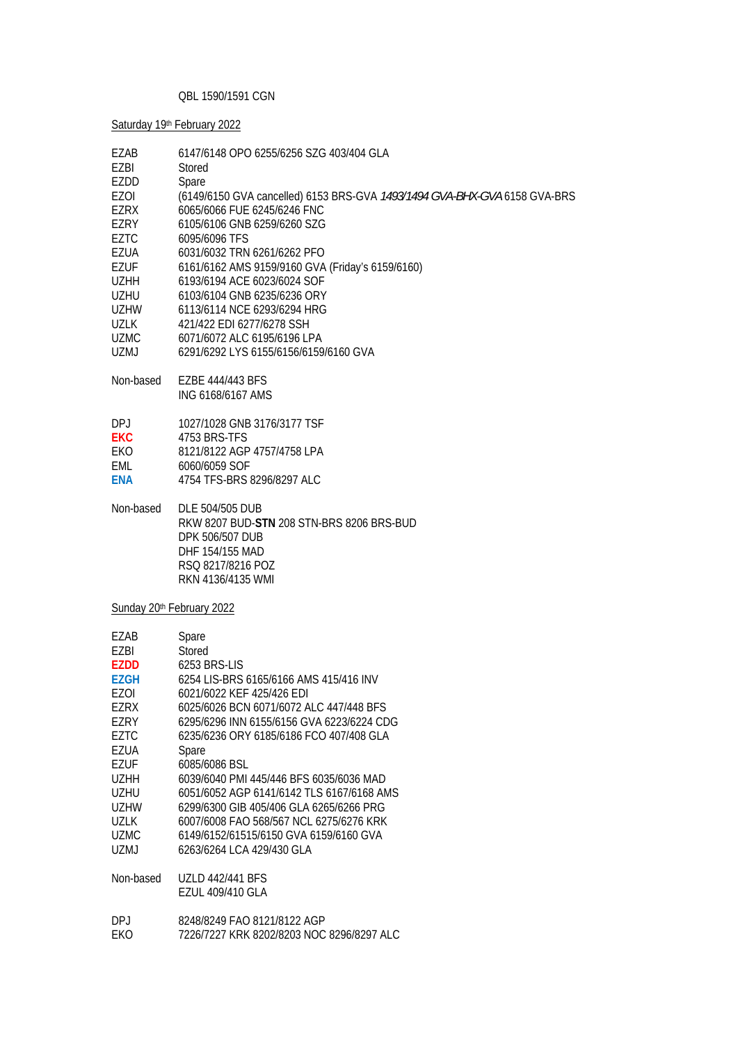### QBL 1590/1591 CGN

Saturday 19th February 2022

| EZAB<br>EZBI<br>EZDD<br>EZOI<br><b>EZRX</b><br>EZRY<br>EZTC<br>EZUA<br>EZUF<br>UZHH<br>UZHU<br>UZHW<br>UZLK<br><b>UZMC</b><br>UZMJ<br>Non-based<br>DPJ<br><b>EKC</b><br>EKO                        | 6147/6148 OPO 6255/6256 SZG 403/404 GLA<br>Stored<br>Spare<br>(6149/6150 GVA cancelled) 6153 BRS-GVA 1493/1494 GVA-BHX-GVA 6158 GVA-BRS<br>6065/6066 FUE 6245/6246 FNC<br>6105/6106 GNB 6259/6260 SZG<br>6095/6096 TFS<br>6031/6032 TRN 6261/6262 PFO<br>6161/6162 AMS 9159/9160 GVA (Friday's 6159/6160)<br>6193/6194 ACE 6023/6024 SOF<br>6103/6104 GNB 6235/6236 ORY<br>6113/6114 NCE 6293/6294 HRG<br>421/422 EDI 6277/6278 SSH<br>6071/6072 ALC 6195/6196 LPA<br>6291/6292 LYS 6155/6156/6159/6160 GVA<br>EZBE 444/443 BFS<br>ING 6168/6167 AMS<br>1027/1028 GNB 3176/3177 TSF<br>4753 BRS-TFS<br>8121/8122 AGP 4757/4758 LPA |
|----------------------------------------------------------------------------------------------------------------------------------------------------------------------------------------------------|------------------------------------------------------------------------------------------------------------------------------------------------------------------------------------------------------------------------------------------------------------------------------------------------------------------------------------------------------------------------------------------------------------------------------------------------------------------------------------------------------------------------------------------------------------------------------------------------------------------------------------|
| EML                                                                                                                                                                                                | 6060/6059 SOF                                                                                                                                                                                                                                                                                                                                                                                                                                                                                                                                                                                                                      |
| <b>ENA</b>                                                                                                                                                                                         | 4754 TFS-BRS 8296/8297 ALC                                                                                                                                                                                                                                                                                                                                                                                                                                                                                                                                                                                                         |
| Non-based                                                                                                                                                                                          | DLE 504/505 DUB<br>RKW 8207 BUD-STN 208 STN-BRS 8206 BRS-BUD<br>DPK 506/507 DUB<br>DHF 154/155 MAD<br>RSQ 8217/8216 POZ<br>RKN 4136/4135 WMI                                                                                                                                                                                                                                                                                                                                                                                                                                                                                       |
|                                                                                                                                                                                                    | Sunday 20 <sup>th</sup> February 2022                                                                                                                                                                                                                                                                                                                                                                                                                                                                                                                                                                                              |
| EZAB<br>EZBI<br><b>EZDD</b><br><b>EZGH</b><br><b>EZOI</b><br>EZRX<br>EZRY<br>EZTC<br>EZUA<br><b>EZUF</b><br><b>UZHH</b><br><b>UZHU</b><br><b>UZHW</b><br><b>UZLK</b><br><b>UZMC</b><br><b>UZMJ</b> | Spare<br>Stored<br>6253 BRS-LIS<br>6254 LIS-BRS 6165/6166 AMS 415/416 INV<br>6021/6022 KEF 425/426 EDI<br>6025/6026 BCN 6071/6072 ALC 447/448 BFS<br>6295/6296 INN 6155/6156 GVA 6223/6224 CDG<br>6235/6236 ORY 6185/6186 FCO 407/408 GLA<br>Spare<br>6085/6086 BSL<br>6039/6040 PMI 445/446 BFS 6035/6036 MAD<br>6051/6052 AGP 6141/6142 TLS 6167/6168 AMS<br>6299/6300 GIB 405/406 GLA 6265/6266 PRG<br>6007/6008 FAO 568/567 NCL 6275/6276 KRK<br>6149/6152/61515/6150 GVA 6159/6160 GVA<br>6263/6264 LCA 429/430 GLA                                                                                                           |
| Non-based                                                                                                                                                                                          | <b>UZLD 442/441 BFS</b><br>EZUL 409/410 GLA                                                                                                                                                                                                                                                                                                                                                                                                                                                                                                                                                                                        |
| DPJ<br>EKO                                                                                                                                                                                         | 8248/8249 FAO 8121/8122 AGP<br>7226/7227 KRK 8202/8203 NOC 8296/8297 ALC                                                                                                                                                                                                                                                                                                                                                                                                                                                                                                                                                           |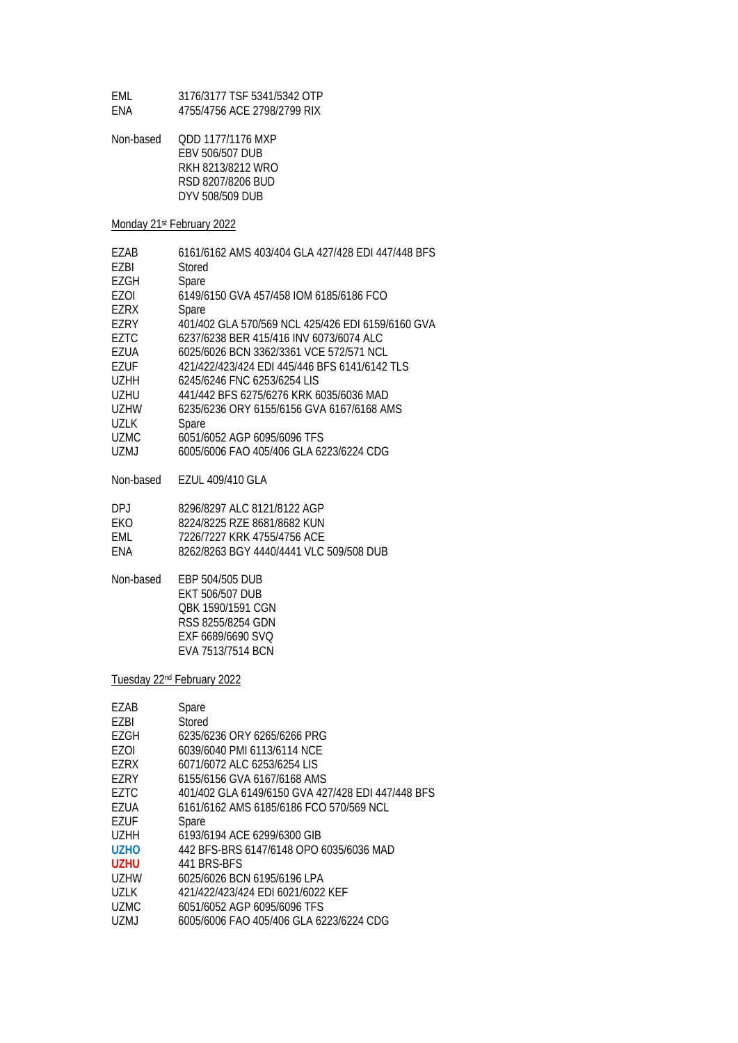| FMI.       | 3176/3177 TSF 5341/5342 OTP |
|------------|-----------------------------|
| <b>FNA</b> | 4755/4756 ACE 2798/2799 RIX |

| Non-based | ODD 1177/1176 MXP |
|-----------|-------------------|
|           | EBV 506/507 DUB   |
|           | RKH 8213/8212 WRO |
|           | RSD 8207/8206 BUD |
|           | DYV 508/509 DUB   |

### Monday 21st February 2022

| F7AB  | 6161/6162 AMS 403/404 GLA 427/428 EDI 447/448 BFS |
|-------|---------------------------------------------------|
| F7BI  | Stored                                            |
| F7GH  | Spare                                             |
| F70I  | 6149/6150 GVA 457/458 IOM 6185/6186 FCO           |
| F7RX  | Spare                                             |
| F7RY  | 401/402 GLA 570/569 NCL 425/426 EDI 6159/6160 GVA |
| F7TC  | 6237/6238 BER 415/416 INV 6073/6074 ALC           |
| F7UA  | 6025/6026 BCN 3362/3361 VCF 572/571 NCL           |
| F7UF  | 421/422/423/424 EDI 445/446 BFS 6141/6142 TLS     |
| UZHH  | 6245/6246 FNC 6253/6254 LIS                       |
| UZHU  | 441/442 BFS 6275/6276 KRK 6035/6036 MAD           |
| UZHW  | 6235/6236 ORY 6155/6156 GVA 6167/6168 AMS         |
| UZLK  | Spare                                             |
| UZMC. | 6051/6052 AGP 6095/6096 TFS                       |
| UZMJ  | 6005/6006 FAO 405/406 GLA 6223/6224 CDG           |

Non-based EZUL 409/410 GLA

| DP I | 8296/8297 ALC 8121/8122 AGP             |
|------|-----------------------------------------|
| FKO. | 8224/8225 RZE 8681/8682 KUN             |
| FMI. | 7226/7227 KRK 4755/4756 ACE             |
| FNA  | 8262/8263 BGY 4440/4441 VLC 509/508 DUB |

Non-based EBP 504/505 DUB EKT 506/507 DUB QBK 1590/1591 CGN RSS 8255/8254 GDN EXF 6689/6690 SVQ EVA 7513/7514 BCN

Tuesday 22nd February 2022

| EZAB                          | Spare                                             |
|-------------------------------|---------------------------------------------------|
| F7BI                          | Stored                                            |
| EZGH                          | 6235/6236 ORY 6265/6266 PRG                       |
| F70I                          | 6039/6040 PMI 6113/6114 NCE                       |
| F7RX                          | 6071/6072 ALC 6253/6254 LIS                       |
| F7RY                          | 6155/6156 GVA 6167/6168 AMS                       |
| F7TC                          | 401/402 GLA 6149/6150 GVA 427/428 EDI 447/448 BFS |
| EZUA                          | 6161/6162 AMS 6185/6186 FCO 570/569 NCL           |
| EZUF                          | Spare                                             |
| U <sub>7</sub> HH             | 6193/6194 ACE 6299/6300 GIB                       |
| U <sub>7</sub> H <sub>O</sub> | 442 BFS-BRS 6147/6148 OPO 6035/6036 MAD           |
| UZHU                          | 441 BRS-BES                                       |
| <b>UZHW</b>                   | 6025/6026 BCN 6195/6196 LPA                       |
| <b>UZLK</b>                   | 421/422/423/424 EDI 6021/6022 KEF                 |
| UZMC                          | 6051/6052 AGP 6095/6096 TFS                       |
| UZMJ                          | 6005/6006 FAO 405/406 GLA 6223/6224 CDG           |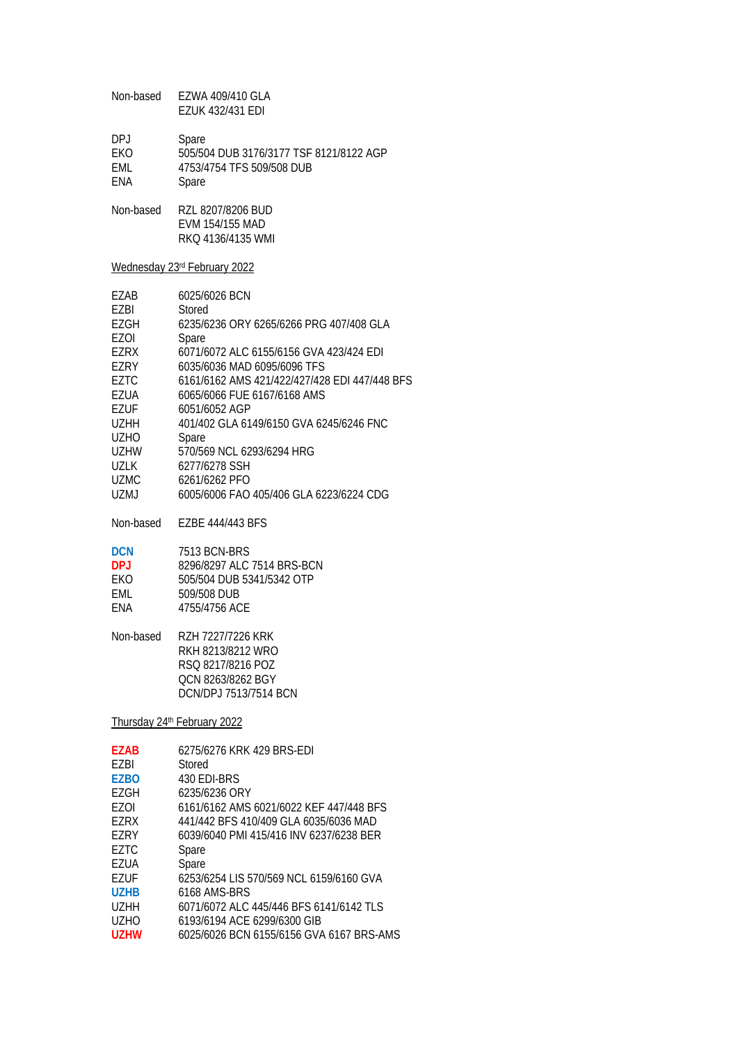| Non-based   | EZWA 409/410 GLA<br><b>EZUK 432/431 EDI</b>                                                                      |
|-------------|------------------------------------------------------------------------------------------------------------------|
| DPJ         | Spare                                                                                                            |
| EKO         | 505/504 DUB 3176/3177 TSF 8121/8122 AGP                                                                          |
| EML         | 4753/4754 TFS 509/508 DUB                                                                                        |
| ENA         | Spare                                                                                                            |
| Non-based   | RZL 8207/8206 BUD<br>EVM 154/155 MAD<br>RKQ 4136/4135 WMI                                                        |
|             | Wednesday 23rd February 2022                                                                                     |
| EZAB        | 6025/6026 BCN                                                                                                    |
| EZBI        | Stored                                                                                                           |
| EZGH        | 6235/6236 ORY 6265/6266 PRG 407/408 GLA                                                                          |
| <b>EZOI</b> | Spare                                                                                                            |
| EZRX        | 6071/6072 ALC 6155/6156 GVA 423/424 EDI                                                                          |
| EZRY        | 6035/6036 MAD 6095/6096 TFS                                                                                      |
| <b>EZTC</b> | 6161/6162 AMS 421/422/427/428 EDI 447/448 BFS                                                                    |
| <b>EZUA</b> | 6065/6066 FUE 6167/6168 AMS                                                                                      |
| <b>EZUF</b> | 6051/6052 AGP                                                                                                    |
| <b>UZHH</b> | 401/402 GLA 6149/6150 GVA 6245/6246 FNC                                                                          |
| <b>UZHO</b> | Spare                                                                                                            |
| <b>UZHW</b> | 570/569 NCL 6293/6294 HRG                                                                                        |
| UZLK        | 6277/6278 SSH                                                                                                    |
| <b>UZMC</b> | 6261/6262 PFO                                                                                                    |
| <b>UZMJ</b> | 6005/6006 FAO 405/406 GLA 6223/6224 CDG                                                                          |
| Non-based   | EZBE 444/443 BFS                                                                                                 |
| <b>DCN</b>  | 7513 BCN-BRS                                                                                                     |
| <b>DPJ</b>  | 8296/8297 ALC 7514 BRS-BCN                                                                                       |
| EKO         | 505/504 DUB 5341/5342 OTP                                                                                        |
| EML         | 509/508 DUB                                                                                                      |
| ENA         | 4755/4756 ACE                                                                                                    |
| Non-based   | RZH 7227/7226 KRK<br>RKH 8213/8212 WRO<br>RSQ 8217/8216 POZ<br>QCN 8263/8262 BGY<br><b>DCN/DPJ 7513/7514 BCN</b> |
|             | Thursday 24th February 2022                                                                                      |
| <b>EZAB</b> | 6275/6276 KRK 429 BRS-EDI                                                                                        |
| EZBI        | Stored                                                                                                           |
| <b>EZBO</b> | 430 EDI-BRS                                                                                                      |
| EZGH        | 6235/6236 ORY                                                                                                    |
| EZOI        | 6161/6162 AMS 6021/6022 KEF 447/448 BFS                                                                          |
| EZRX        | 441/442 BFS 410/409 GLA 6035/6036 MAD                                                                            |
| EZRY        | 6039/6040 PMI 415/416 INV 6237/6238 BER                                                                          |
| EZTC        | Spare                                                                                                            |
| EZUA        | Spare                                                                                                            |
| <b>EZUF</b> | 6253/6254 LIS 570/569 NCL 6159/6160 GVA                                                                          |
| <b>UZHB</b> | 6168 AMS-BRS                                                                                                     |
| UZHH        | 6071/6072 ALC 445/446 BFS 6141/6142 TLS                                                                          |
| <b>UZHO</b> | 6193/6194 ACE 6299/6300 GIB                                                                                      |
| <b>UZHW</b> | 6025/6026 BCN 6155/6156 GVA 6167 BRS-AMS                                                                         |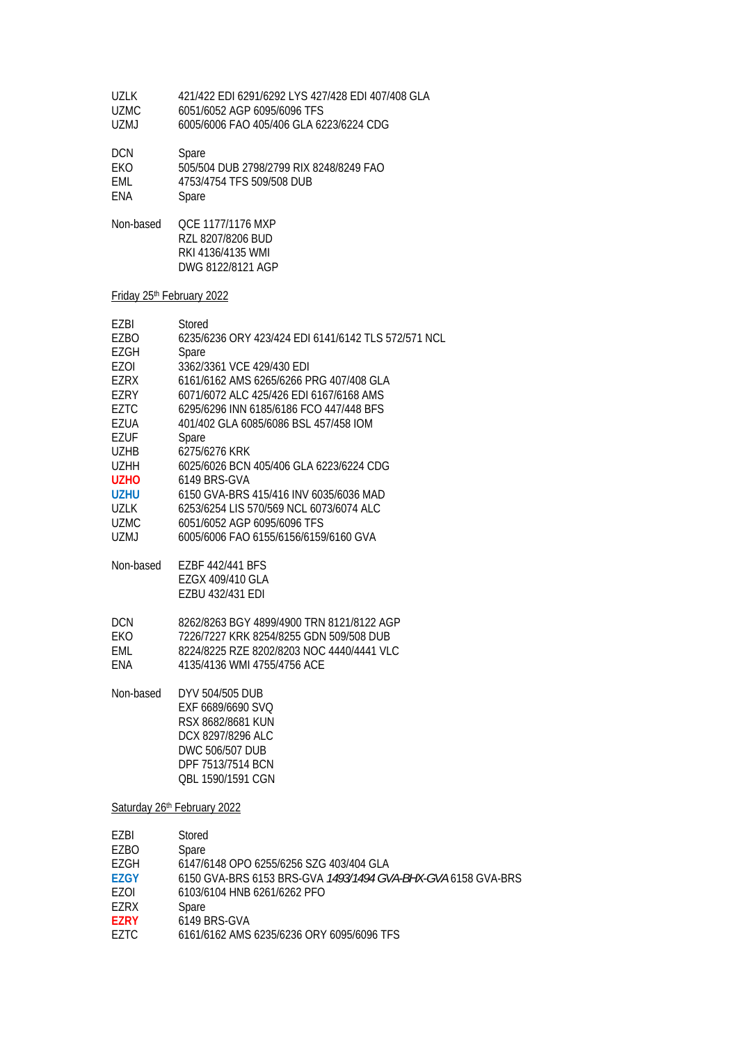- UZLK 421/422 EDI 6291/6292 LYS 427/428 EDI 407/408 GLA
- UZMC 6051/6052 AGP 6095/6096 TFS<br>UZMJ 6005/6006 FAO 405/406 GLA 62 6005/6006 FAO 405/406 GLA 6223/6224 CDG

| DCN.       | Spare                                   |
|------------|-----------------------------------------|
| <b>FKO</b> | 505/504 DUB 2798/2799 RIX 8248/8249 FAO |
| FMI.       | 4753/4754 TFS 509/508 DUB               |
| FNA        | Spare                                   |

Non-based QCE 1177/1176 MXP RZL 8207/8206 BUD RKI 4136/4135 WMI DWG 8122/8121 AGP

#### Friday 25th February 2022

| F7BI                          | Stored                                              |
|-------------------------------|-----------------------------------------------------|
| EZBO                          | 6235/6236 ORY 423/424 FDI 6141/6142 TLS 572/571 NCL |
| EZGH                          | Spare                                               |
| F70I                          | 3362/3361 VCE 429/430 EDI                           |
| F7RX                          | 6161/6162 AMS 6265/6266 PRG 407/408 GLA             |
| F7RY                          | 6071/6072 ALC 425/426 EDI 6167/6168 AMS             |
| F7TC                          | 6295/6296 INN 6185/6186 FCO 447/448 BFS             |
| F7UA                          | 401/402 GLA 6085/6086 BSL 457/458 IOM               |
| F7UF                          | Spare                                               |
| UZHB                          | 6275/6276 KRK                                       |
| <b>UZHH</b>                   | 6025/6026 BCN 405/406 GLA 6223/6224 CDG             |
| U <sub>7</sub> H <sub>O</sub> | 6149 BRS-GVA                                        |
| U7HU                          | 6150 GVA-BRS 415/416 INV 6035/6036 MAD              |
| 1171 K                        | 6253/6254 LIS 570/569 NCL 6073/6074 ALC             |
| <b>UZMC</b>                   | 6051/6052 AGP 6095/6096 TFS                         |
| UZMJ                          | 6005/6006 FAO 6155/6156/6159/6160 GVA               |
|                               |                                                     |
|                               |                                                     |

Non-based EZBF 442/441 BFS EZGX 409/410 GLA EZBU 432/431 EDI

| DCN. | 8262/8263 BGY 4899/4900 TRN 8121/8122 AGP |
|------|-------------------------------------------|
| EKO. | 7226/7227 KRK 8254/8255 GDN 509/508 DUB   |
| FMI. | 8224/8225 RZE 8202/8203 NOC 4440/4441 VLC |
| FNA  | 4135/4136 WMI 4755/4756 ACE               |

Non-based DYV 504/505 DUB EXF 6689/6690 SVQ RSX 8682/8681 KUN DCX 8297/8296 ALC DWC 506/507 DUB DPF 7513/7514 BCN QBL 1590/1591 CGN

Saturday 26th February 2022

| EZBI            | Stored                                                              |
|-----------------|---------------------------------------------------------------------|
| EZBO            | Spare                                                               |
| F7GH            | 6147/6148 OPO 6255/6256 SZG 403/404 GLA                             |
| <b>EZGY</b>     | 6150 GVA-BRS 6153 BRS-GVA <i>1493/1494 GVA-BHX-GVA</i> 6158 GVA-BRS |
| F <sub>70</sub> | 6103/6104 HNB 6261/6262 PFO                                         |
| EZRX            | Spare                                                               |
| <b>F7RY</b>     | 6149 BRS-GVA                                                        |
| F7TC            | 6161/6162 AMS 6235/6236 ORY 6095/6096 TFS                           |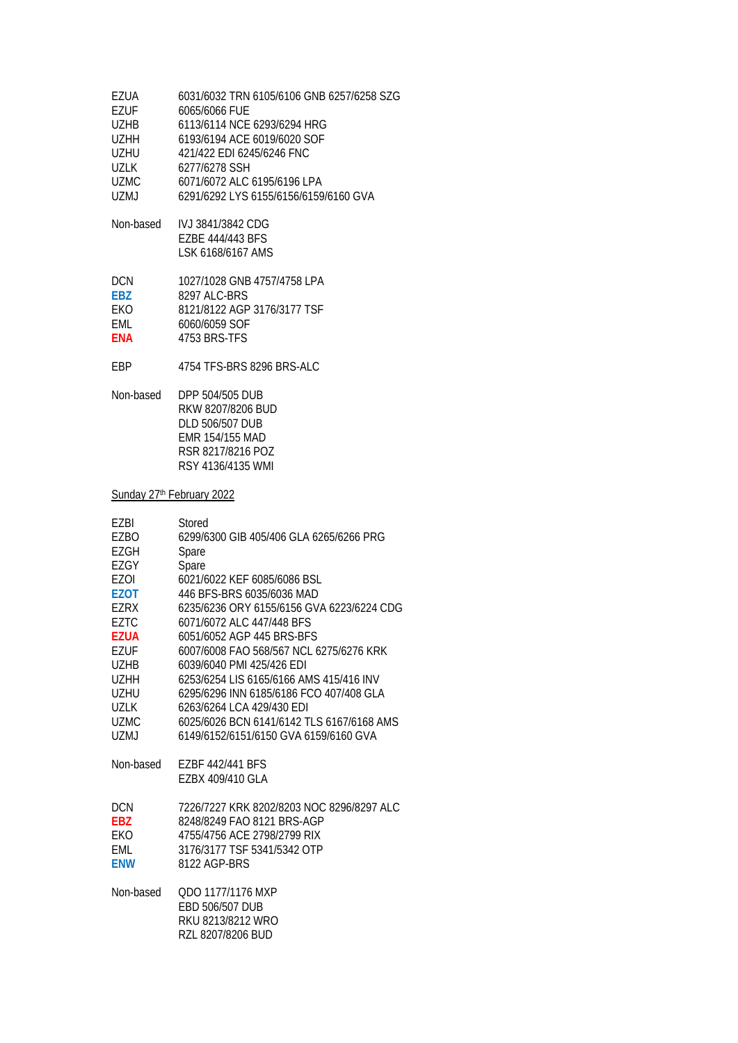| <b>EZUA</b><br>EZUF<br>UZHB<br>UZHH<br>UZHU<br>UZLK<br>UZMC<br>UZMJ                                                                                                    | 6031/6032 TRN 6105/6106 GNB 6257/6258 SZG<br>6065/6066 FUE<br>6113/6114 NCE 6293/6294 HRG<br>6193/6194 ACE 6019/6020 SOF<br>421/422 EDI 6245/6246 FNC<br>6277/6278 SSH<br>6071/6072 ALC 6195/6196 LPA<br>6291/6292 LYS 6155/6156/6159/6160 GVA                                                                                                                                                                                                                                                                          |
|------------------------------------------------------------------------------------------------------------------------------------------------------------------------|-------------------------------------------------------------------------------------------------------------------------------------------------------------------------------------------------------------------------------------------------------------------------------------------------------------------------------------------------------------------------------------------------------------------------------------------------------------------------------------------------------------------------|
| Non-based                                                                                                                                                              | IVJ 3841/3842 CDG<br>EZBE 444/443 BFS<br>LSK 6168/6167 AMS                                                                                                                                                                                                                                                                                                                                                                                                                                                              |
| <b>DCN</b><br><b>EBZ</b><br>EKO<br>EML<br><b>ENA</b>                                                                                                                   | 1027/1028 GNB 4757/4758 LPA<br>8297 ALC-BRS<br>8121/8122 AGP 3176/3177 TSF<br>6060/6059 SOF<br>4753 BRS-TFS                                                                                                                                                                                                                                                                                                                                                                                                             |
| EBP                                                                                                                                                                    | 4754 TFS-BRS 8296 BRS-ALC                                                                                                                                                                                                                                                                                                                                                                                                                                                                                               |
| Non-based                                                                                                                                                              | DPP 504/505 DUB<br>RKW 8207/8206 BUD<br><b>DLD 506/507 DUB</b><br>EMR 154/155 MAD<br>RSR 8217/8216 POZ<br>RSY 4136/4135 WMI                                                                                                                                                                                                                                                                                                                                                                                             |
| Sunday 27th February 2022                                                                                                                                              |                                                                                                                                                                                                                                                                                                                                                                                                                                                                                                                         |
| EZBI<br>EZBO<br>EZGH<br>EZGY<br>EZOI<br>EZOT<br>EZRX<br><b>EZTC</b><br><b>EZUA</b><br>EZUF<br><b>UZHB</b><br><b>UZHH</b><br><b>UZHU</b><br>UZLK<br><b>UZMC</b><br>UZMJ | Stored<br>6299/6300 GIB 405/406 GLA 6265/6266 PRG<br>Spare<br>Spare<br>6021/6022 KEF 6085/6086 BSL<br>446 BFS-BRS 6035/6036 MAD<br>6235/6236 ORY 6155/6156 GVA 6223/6224 CDG<br>6071/6072 ALC 447/448 BFS<br>6051/6052 AGP 445 BRS-BFS<br>6007/6008 FAO 568/567 NCL 6275/6276 KRK<br>6039/6040 PMI 425/426 EDI<br>6253/6254 LIS 6165/6166 AMS 415/416 INV<br>6295/6296 INN 6185/6186 FCO 407/408 GLA<br>6263/6264 LCA 429/430 EDI<br>6025/6026 BCN 6141/6142 TLS 6167/6168 AMS<br>6149/6152/6151/6150 GVA 6159/6160 GVA |
| Non-based                                                                                                                                                              | EZBF 442/441 BFS<br>EZBX 409/410 GLA                                                                                                                                                                                                                                                                                                                                                                                                                                                                                    |
| DCN.<br><b>EBZ</b><br>EKO<br>EML<br><b>ENW</b>                                                                                                                         | 7226/7227 KRK 8202/8203 NOC 8296/8297 ALC<br>8248/8249 FAO 8121 BRS-AGP<br>4755/4756 ACE 2798/2799 RIX<br>3176/3177 TSF 5341/5342 OTP<br>8122 AGP-BRS                                                                                                                                                                                                                                                                                                                                                                   |
| Non-based                                                                                                                                                              | QDO 1177/1176 MXP<br>EBD 506/507 DUB<br>RKU 8213/8212 WRO<br>RZL 8207/8206 BUD                                                                                                                                                                                                                                                                                                                                                                                                                                          |